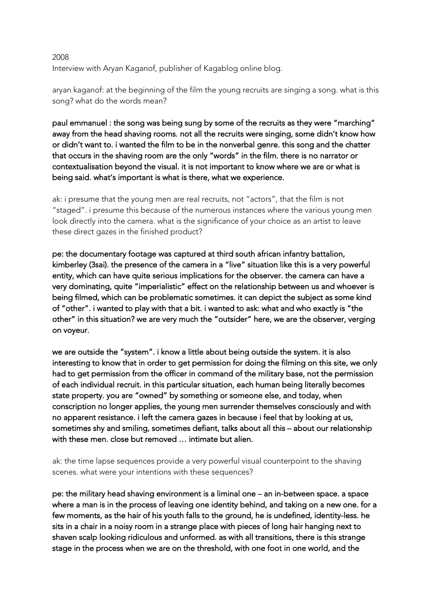## 2008 Interview with Aryan Kaganof, publisher of Kagablog online blog.

aryan kaganof: at the beginning of the film the young recruits are singing a song. what is this song? what do the words mean?

paul emmanuel : the song was being sung by some of the recruits as they were "marching" away from the head shaving rooms. not all the recruits were singing, some didn't know how or didn't want to. i wanted the film to be in the nonverbal genre. this song and the chatter that occurs in the shaving room are the only "words" in the film. there is no narrator or contextualisation beyond the visual. it is not important to know where we are or what is being said. what's important is what is there, what we experience.

ak: i presume that the young men are real recruits, not "actors", that the film is not "staged". i presume this because of the numerous instances where the various young men look directly into the camera. what is the significance of your choice as an artist to leave these direct gazes in the finished product?

pe: the documentary footage was captured at third south african infantry battalion, kimberley (3sai). the presence of the camera in a "live" situation like this is a very powerful entity, which can have quite serious implications for the observer. the camera can have a very dominating, quite "imperialistic" effect on the relationship between us and whoever is being filmed, which can be problematic sometimes. it can depict the subject as some kind of "other". i wanted to play with that a bit. i wanted to ask: what and who exactly is "the other" in this situation? we are very much the "outsider" here, we are the observer, verging on voyeur.

we are outside the "system". i know a little about being outside the system. it is also interesting to know that in order to get permission for doing the filming on this site, we only had to get permission from the officer in command of the military base, not the permission of each individual recruit. in this particular situation, each human being literally becomes state property. you are "owned" by something or someone else, and today, when conscription no longer applies, the young men surrender themselves consciously and with no apparent resistance. i left the camera gazes in because i feel that by looking at us, sometimes shy and smiling, sometimes defiant, talks about all this – about our relationship with these men. close but removed … intimate but alien.

ak: the time lapse sequences provide a very powerful visual counterpoint to the shaving scenes. what were your intentions with these sequences?

pe: the military head shaving environment is a liminal one – an in-between space. a space where a man is in the process of leaving one identity behind, and taking on a new one. for a few moments, as the hair of his youth falls to the ground, he is undefined, identity-less. he sits in a chair in a noisy room in a strange place with pieces of long hair hanging next to shaven scalp looking ridiculous and unformed. as with all transitions, there is this strange stage in the process when we are on the threshold, with one foot in one world, and the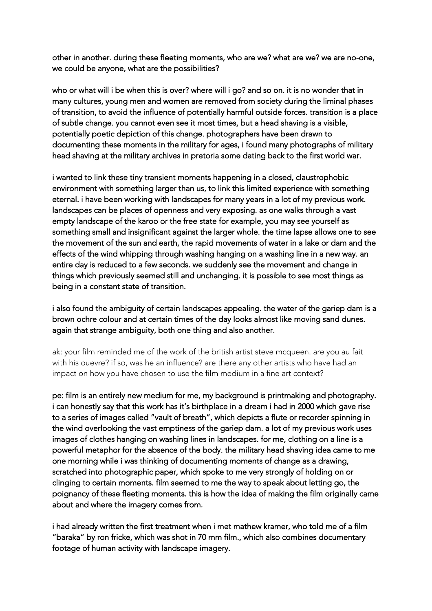other in another. during these fleeting moments, who are we? what are we? we are no-one, we could be anyone, what are the possibilities?

who or what will i be when this is over? where will i go? and so on. it is no wonder that in many cultures, young men and women are removed from society during the liminal phases of transition, to avoid the influence of potentially harmful outside forces. transition is a place of subtle change. you cannot even see it most times, but a head shaving is a visible, potentially poetic depiction of this change. photographers have been drawn to documenting these moments in the military for ages, i found many photographs of military head shaving at the military archives in pretoria some dating back to the first world war.

i wanted to link these tiny transient moments happening in a closed, claustrophobic environment with something larger than us, to link this limited experience with something eternal. i have been working with landscapes for many years in a lot of my previous work. landscapes can be places of openness and very exposing. as one walks through a vast empty landscape of the karoo or the free state for example, you may see yourself as something small and insignificant against the larger whole. the time lapse allows one to see the movement of the sun and earth, the rapid movements of water in a lake or dam and the effects of the wind whipping through washing hanging on a washing line in a new way. an entire day is reduced to a few seconds. we suddenly see the movement and change in things which previously seemed still and unchanging. it is possible to see most things as being in a constant state of transition.

i also found the ambiguity of certain landscapes appealing. the water of the gariep dam is a brown ochre colour and at certain times of the day looks almost like moving sand dunes. again that strange ambiguity, both one thing and also another.

ak: your film reminded me of the work of the british artist steve mcqueen. are you au fait with his ouevre? if so, was he an influence? are there any other artists who have had an impact on how you have chosen to use the film medium in a fine art context?

pe: film is an entirely new medium for me, my background is printmaking and photography. i can honestly say that this work has it's birthplace in a dream i had in 2000 which gave rise to a series of images called "vault of breath", which depicts a flute or recorder spinning in the wind overlooking the vast emptiness of the gariep dam. a lot of my previous work uses images of clothes hanging on washing lines in landscapes. for me, clothing on a line is a powerful metaphor for the absence of the body. the military head shaving idea came to me one morning while i was thinking of documenting moments of change as a drawing, scratched into photographic paper, which spoke to me very strongly of holding on or clinging to certain moments. film seemed to me the way to speak about letting go, the poignancy of these fleeting moments. this is how the idea of making the film originally came about and where the imagery comes from.

i had already written the first treatment when i met mathew kramer, who told me of a film "baraka" by ron fricke, which was shot in 70 mm film., which also combines documentary footage of human activity with landscape imagery.